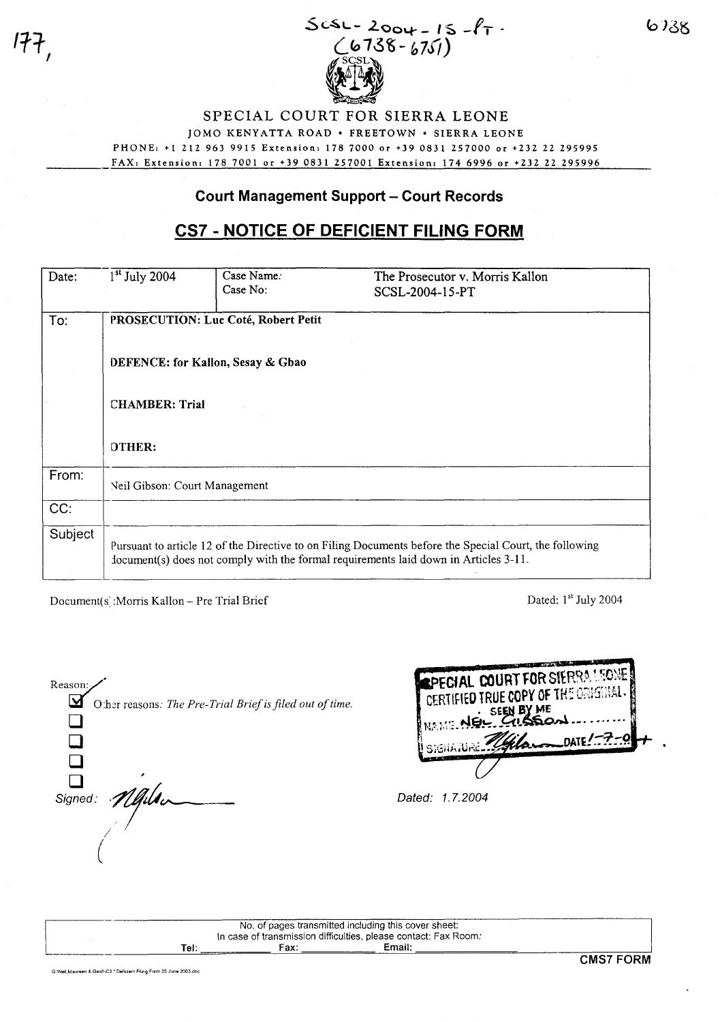

SPECIAL COURT FOR SIERRA LEONE JOMO KENYATTA ROAD · FREETOWN · SIERRA LEONE PHONE: +1 212 963 9915 Extension: 1787000 or +39 0831257000 or +232 22 295995 FAX: Extension: 178 7001 or +39 0831 257001 Extension: 174 6996 or +232 22 295996

## **Court Management Support - Court Records**

# **CS7 - NOTICE OF DEFICIENT FILING FORM**

| Date:   | $1st$ July 2004                     | Case Name: | The Prosecutor v. Morris Kallon                                                                                                                                                                |  |  |  |
|---------|-------------------------------------|------------|------------------------------------------------------------------------------------------------------------------------------------------------------------------------------------------------|--|--|--|
|         |                                     | Case No:   | SCSL-2004-15-PT                                                                                                                                                                                |  |  |  |
| To:     | PROSECUTION: Luc Coté, Robert Petit |            |                                                                                                                                                                                                |  |  |  |
|         | DEFENCE: for Kallon, Sesay & Gbao   |            |                                                                                                                                                                                                |  |  |  |
|         | <b>CHAMBER: Trial</b>               |            |                                                                                                                                                                                                |  |  |  |
|         | OTHER:                              |            |                                                                                                                                                                                                |  |  |  |
| From:   | Neil Gibson: Court Management       |            |                                                                                                                                                                                                |  |  |  |
| CC:     |                                     |            |                                                                                                                                                                                                |  |  |  |
| Subject |                                     |            | Pursuant to article 12 of the Directive to on Filing Documents before the Special Court, the following<br>document(s) does not comply with the formal requirements laid down in Articles 3-11. |  |  |  |

Document(s): Morris Kallon - Pre Trial Brief

**1ft** /

Dated: 1<sup>st</sup> July 2004

| Reason:<br>2                                             | <b>REPECIAL C</b><br><b>CERTIFIED TI</b> |
|----------------------------------------------------------|------------------------------------------|
| Other reasons: The Pre-Trial Brief is filed out of time. | NAME.                                    |
|                                                          |                                          |
| Signed: Mails                                            | Dated: 1.7.2004                          |
|                                                          |                                          |
|                                                          |                                          |

| <b>EPECIAL COURT FOR SIERRA LEONE</b> |  |
|---------------------------------------|--|
|                                       |  |
| SEEN BY ME                            |  |
| NAME NEL                              |  |
| DATE: $\sqrt{2}$<br>I / bi            |  |
|                                       |  |
|                                       |  |

|      |      | No. of pages transmitted including this cover sheet:            |  |
|------|------|-----------------------------------------------------------------|--|
|      |      | In case of transmission difficulties, please contact: Fax Room: |  |
| Tel: | Fax: | Email:                                                          |  |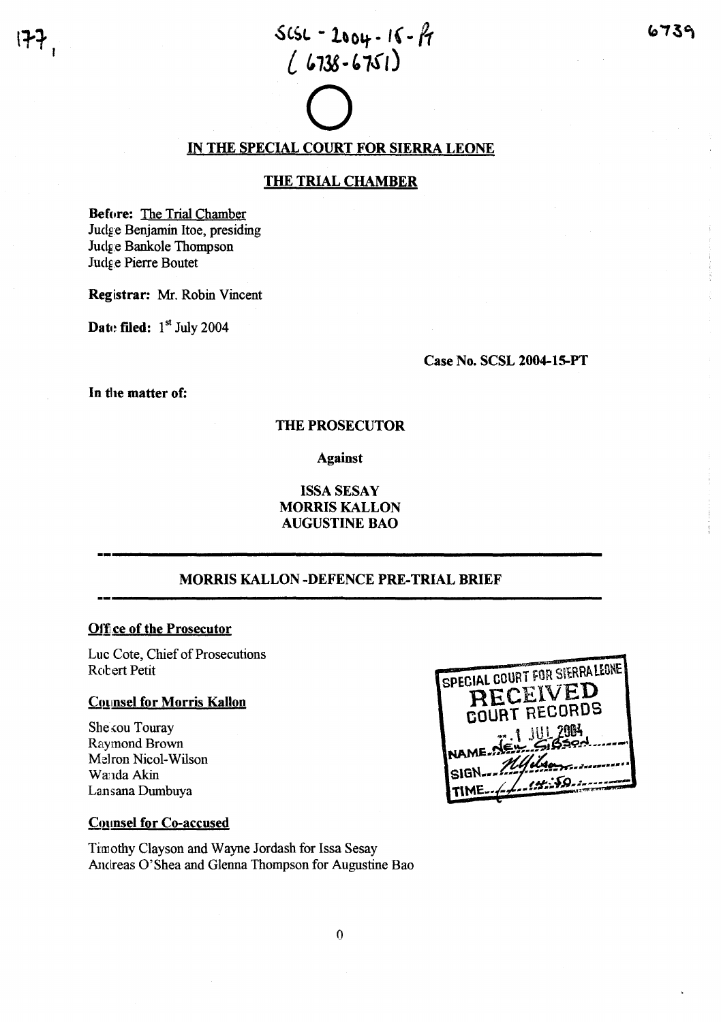# $scsc - 2004 - 16 - F$  $(6738 - 6751)$  $\sum_{\text{conv}}$

# <u>IN THE SPECIAL COURT FOR SIERRA LEONE</u>

## THE TRIAL CHAMBER

Before: The Trial Chamber Judge Benjamin Itoe, presiding Judg:e Bankole Thompson ludg:e Pierre Boutet

Registrar: Mr. Robin Vincent

Date filed:  $1<sup>st</sup>$  July 2004

Case No. SCSL 2004-15-PT

In the matter of:

## THE PROSECUTOR

Against

## ISSASESAY MORRIS KALLON AUGUSTINE BAO

## MORRIS KALLON -DEFENCE PRE-TRIAL BRIEF

## Office of the Prosecutor

Luc Cote, Chief of Prosecutions Rotert Petit

## **Counsel for Morris Kallon**

She kou Touray Raymond Brown Melron Nicol-Wilson Wanda Akin Lansana Dumbuya

| SPECIAL COURT FOR SIERRALEONE |
|-------------------------------|
| RECEIVED                      |
| COURT RECORDS                 |
|                               |
| AEW ABSON                     |
|                               |
| SIGN Myils                    |
| ورهكيبيين                     |
| MF.                           |

#### **Counsel for Co-accused**

Tirn othy Clayson and Wayne Jordash for Issa Sesay Andreas O'Shea and Glenna Thompson for Augustine Bao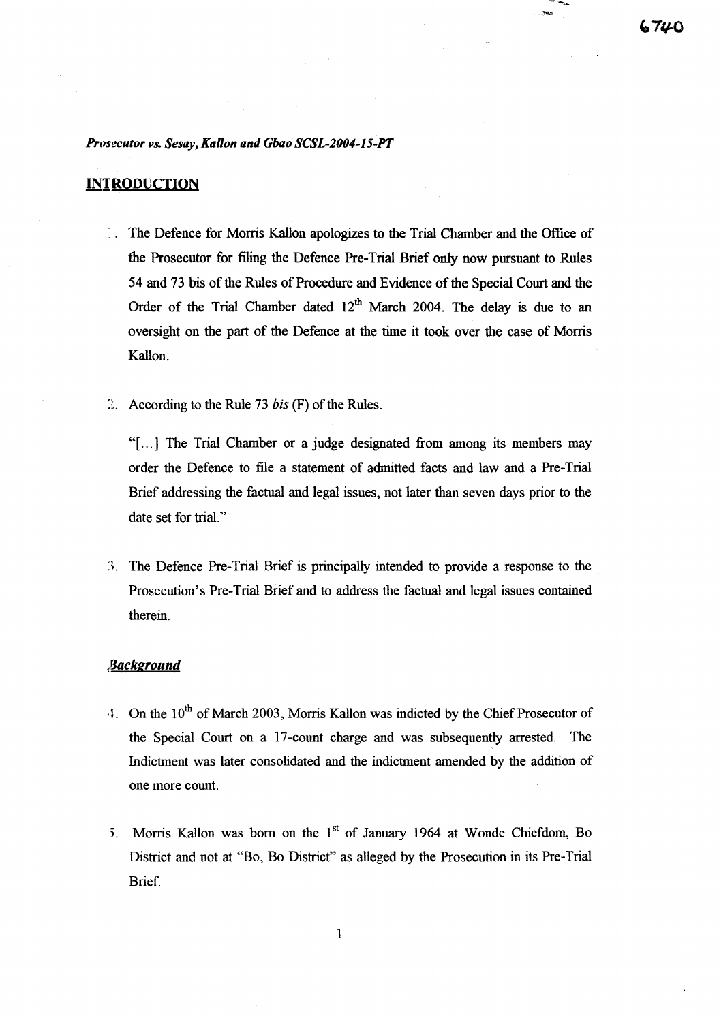#### *Prosecutor vs. Sesay, KaHon and Gbao SCSL-2004-15-PT*

## **INTRODUCTION**

- The Defence for Morris Kallon apologizes to the Trial Chamber and the Office of the Prosecutor for filing the Defence Pre-Trial Brief only now pursuant to Rules 54 and 73 bis of the Rules of Procedure and Evidence of the Special Court and the Order of the Trial Chamber dated 12<sup>th</sup> March 2004. The delay is due to an oversight on the part of the Defence at the time it took over the case of Morris Kallon.
- $\therefore$  According to the Rule 73 *bis* (F) of the Rules.

"[...] The Trial Chamber or a judge designated from among its members may order the Defence to file a statement of admitted facts and law and a Pre-Trial Brief addressing the factual and legal issues, not later than seven days prior to the date set for trial."

]. The Defence Pre-Trial Brief is principally intended to provide a response to the Prosecution's Pre-Trial Brief and to address the factual and legal issues contained therein.

## /Jackground

- <sup>4</sup>. On the 10<sup>th</sup> of March 2003, Morris Kallon was indicted by the Chief Prosecutor of the Special Court on a 17-count charge and was subsequently arrested. The Indictment was later consolidated and the indictment amended by the addition of one more count.
- 5. Morris Kallon was born on the  $1<sup>st</sup>$  of January 1964 at Wonde Chiefdom, Bo District and not at "Bo, Bo District" as alleged by the Prosecution in its Pre-Trial Brief.

 $\mathbf{1}$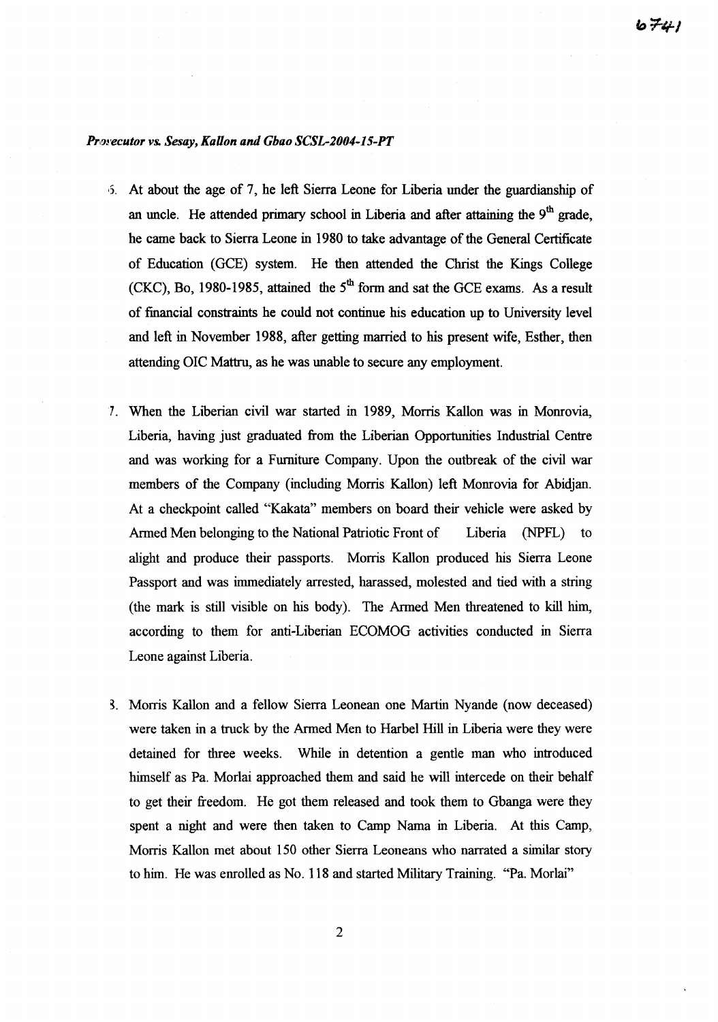#### *Pun'ecutoT* Vs. *Sesay, KaUon and Gbao SCSL-2004-15-PT*

- I). At about the age of 7, he left Sierra Leone for Liberia under the guardianship of an uncle. He attended primary school in Liberia and after attaining the  $9<sup>th</sup>$  grade, he came back to Sierra Leone in 1980 to take advantage of the General Certificate of Education (GCE) system. He then attended the Christ the Kings College (CKC), Bo, 1980-1985, attained the  $5<sup>th</sup>$  form and sat the GCE exams. As a result of financial constraints he could not continue his education up to University level and left in November 1988, after getting married to his present wife, Esther, then attending OIC Mattru, as he was unable to secure any employment.
- 7. When the Liberian civil war started in 1989, Morris Kallon was in Momovia, Liberia, having just graduated from the Liberian Opportunities Industrial Centre and was working for a Furniture Company. Upon the outbreak of the civil war members of the Company (including Morris Kallon) left Momovia for Abidjan. At a checkpoint called "Kakata" members on board their vehicle were asked by Armed Men belonging to the National Patriotic Front of Liberia (NPFL) to alight and produce their passports. Morris Kallon produced his Sierra Leone Passport and was immediately arrested, harassed, molested and tied with a string (the mark is still visible on his body). The Armed Men threatened to kill him, according to them for anti-Liberian ECOMOG activities conducted in Sierra Leone against Liberia.
- ~. Morris Kallon and a fellow Sierra Leonean one Martin Nyande (now deceased) were taken in a truck by the Armed Men to Harbel Hill in Liberia were they were detained for three weeks. While in detention a gentle man who introduced himself as Pa. Morlai approached them and said he will intercede on their behalf to get their freedom. He got them released and took them to Gbanga were they spent a night and were then taken to Camp Nama in Liberia. At this Camp, Morris Kallon met about 150 other Sierra Leoneans who narrated a similar story to him. He was emolled as No. 118 and started Military Training. "Pa. Morlai"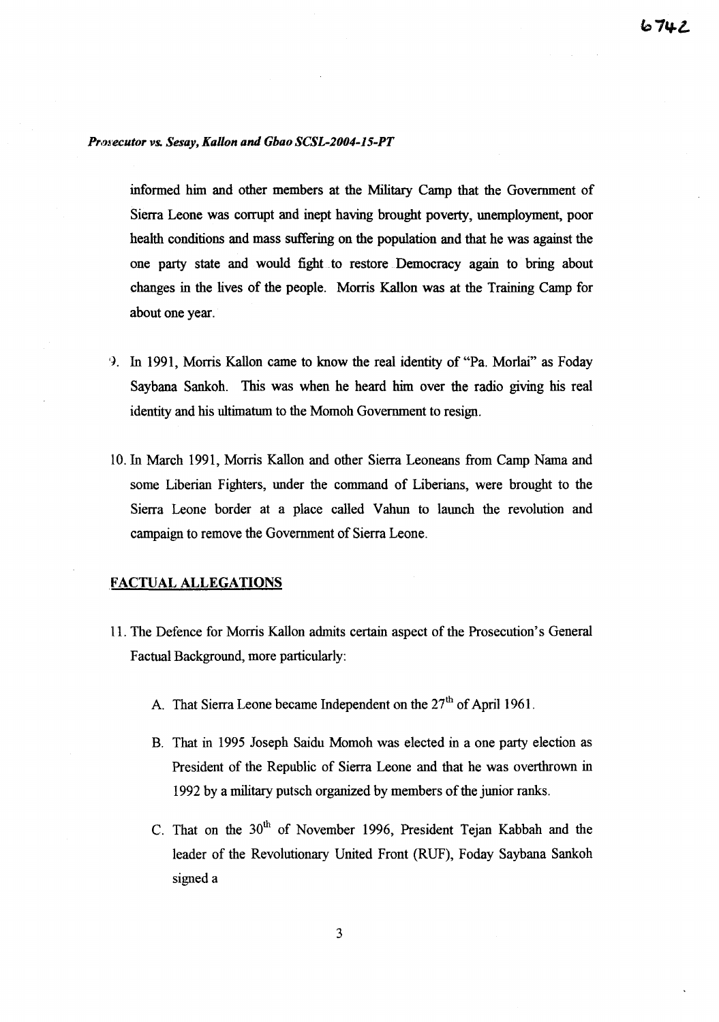#### **Prosecutor vs. Sesay, Kallon and Gbao SCSL-2004-15-PT**

informed him and other members at the Military Camp that the Government of Sierra Leone was corrupt and inept having brought poverty, unemployment, poor health conditions and mass suffering on the population and that he was against the one party state and would fight to restore Democracy again to bring about changes in the lives of the people. Morris Kallon was at the Training Camp for about one year.

- 9. In 1991, Morris Kallon came to know the real identity of "Pa. Morlai" as Foday Saybana Sankoh. This was when he heard him over the radio giving his real identity and his ultimatum to the Momoh Government to resign.
- 10. In March 1991, Morris Kallon and other Sierra Leoneans from Camp Nama and some Liberian Fighters, under the command of Liberians, were brought to the Sierra Leone border at a place called Vahun to launch the revolution and campaign to remove the Government of Sierra Leone.

## FACTUAL ALLEGATIONS

- 11. The Defence for Morris Kallon admits certain aspect of the Prosecution's General Factual Background, more particularly:
	- A. That Sierra Leone became Independent on the  $27<sup>th</sup>$  of April 1961.
	- B. That in 1995 Joseph Saidu Momoh was elected in a one party election as President of the Republic of Sierra Leone and that he was overthrown in 1992 by a military putsch organized by members of the junior ranks.
	- C. That on the 30<sup>th</sup> of November 1996, President Tejan Kabbah and the leader of the Revolutionary United Front (RUF), Foday Saybana Sankoh signed a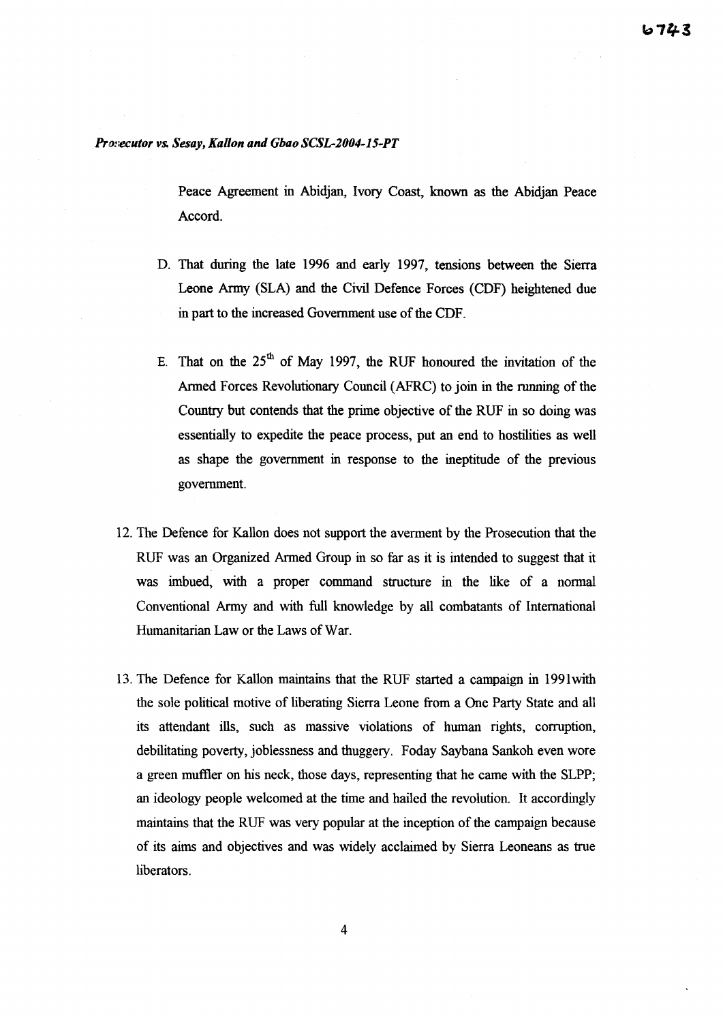#### *Prm:ecutor vs. Sesay, KaUon and Gbao SCSL-2004-15-PT*

Peace Agreement in Abidjan, Ivory Coast, known as the Abidjan Peace Accord.

- D. That during the late 1996 and early 1997, tensions between the Sierra Leone Army (SLA) and the Civil Defence Forces (CDF) heightened due in part to the increased Government use of the CDF.
- E. That on the  $25<sup>th</sup>$  of May 1997, the RUF honoured the invitation of the Armed Forces Revolutionary Council (AFRC) to join in the running of the Country but contends that the prime objective of the RUF in so doing was essentially to expedite the peace process, put an end to hostilities as well as shape the government in response to the ineptitude of the previous government.
- 12. The Defence for KaHon does not support the averment by the Prosecution that the RUF was an Organized Armed Group in so far as it is intended to suggest that it was imbued, with a proper command structure in the like of a normal Conventional Army and with full knowledge by all combatants of International Humanitarian Law or the Laws of War.
- 13. The Defence for Kallon maintains that the RUF started a campaign in 1991with the sole political motive of liberating Sierra Leone from a One Party State and all its attendant ills, such as massive violations of human rights, corruption, debilitating poverty, joblessness and thuggery. Foday Saybana Sankoh even wore a green muffler on his neck, those days, representing that he came with the SLPP; an ideology people welcomed at the time and hailed the revolution. It accordingly maintains that the RUF was very popular at the inception of the campaign because of its aims and objectives and was widely acclaimed by Sierra Leoneans as true liberators.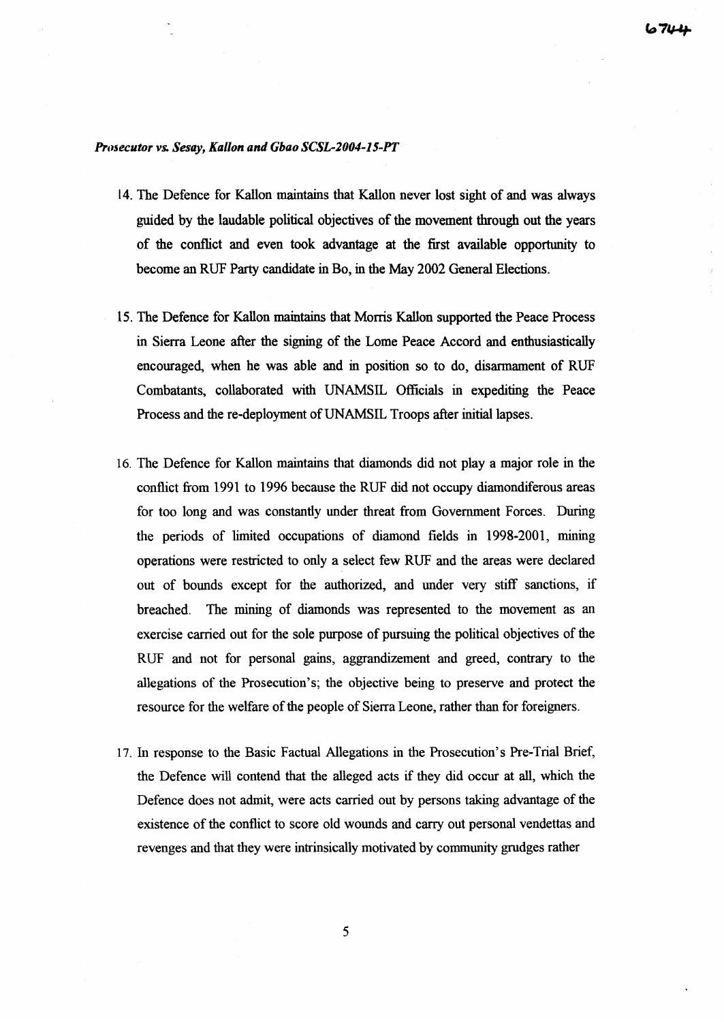#### PTI1~ecutor *vs. Sesay, Kallon and Gbao SCSL-2004-15-PT*

- 14. The Defence for Kallon maintains that Kallon never lost sight of and was always guided by the laudable political objectives of the movement through out the years of the conflict and even took advantage at the first available opportunity to become an RUF Party candidate in Bo, in the May 2002 General Elections.
- 15. The Defence for Kallon maintains that Morris Kallon supported the Peace Process in Sierra Leone after the signing of the Lome Peace Accord and enthusiastically encouraged, when he was able and in position so to do, disarmament of RUF Combatants, collaborated with UNAMSIL Officials in expediting the Peace Process and the re-deployment of UNAMSIL Troops after initial lapses.
- 16. The Defence for Kallon maintains that diamonds did not play a major role in the conflict from 1991 to 1996 because the RUF did not occupy diamondiferous areas for too long and was constantly under threat from Government Forces. During the periods of limited occupations of diamond fields in 1998-2001, mining operations were restricted to only a select few RUF and the areas were declared out of bounds except for the authorized, and under very stiff sanctions, if breached. The mining of diamonds was represented to the movement as an exercise carried out for the sole purpose of pursuing the political objectives of the RUF and not for personal gains, aggrandizement and greed, contrary to the allegations of the Prosecution's; the objective being to preserve and protect the resource for the welfare of the people of Sierra Leone, rather than for foreigners.
- 17. In response to the Basic Factual Allegations in the Prosecution's Pre-Trial Brief, the Defence will contend that the alleged acts if they did occur at all, which the Defence does not admit, were acts carried out by persons taking advantage of the existence ofthe conflict to score old wounds and carry out personal vendettas and revenges and that they were intrinsically motivated by community grudges rather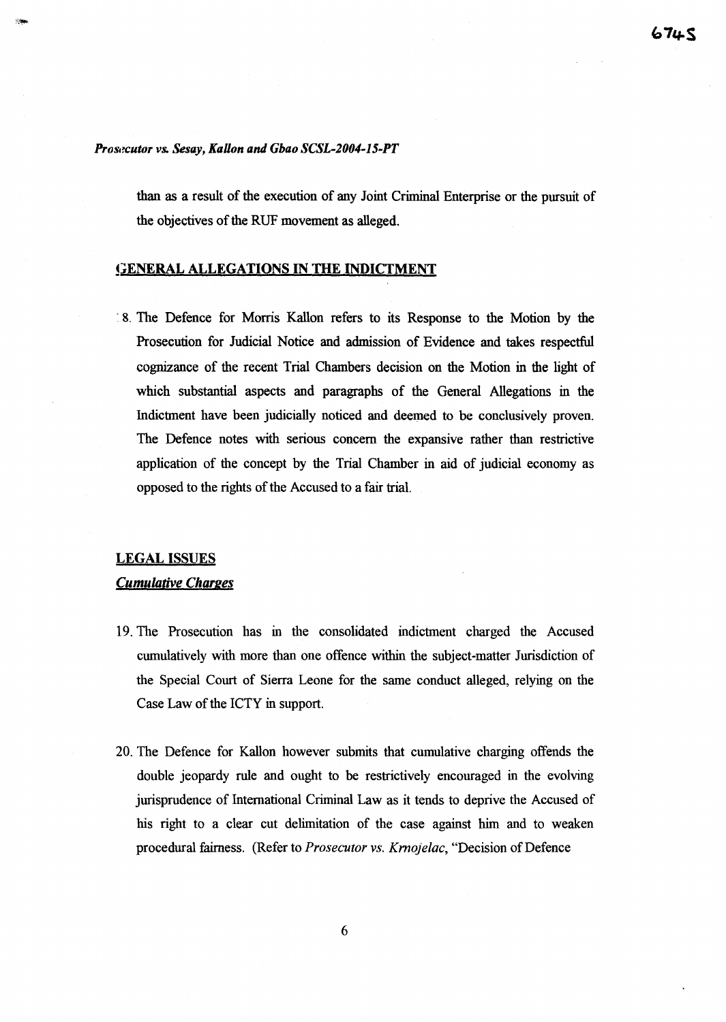## *Prosecutor vs. Sesay, KaHon and Gbao SCSL-2004-15-PT*

than as a result of the execution of any Joint Criminal Enterprise or the pursuit of the objectives of the RUF movement as alleged.

## **GENERAL ALLEGATIONS IN THE INDICTMENT**

·8. The Defence for Morris Kallon refers to its Response to the Motion by the Prosecution for Judicial Notice and admission of Evidence and takes respectful cognizance of the recent Trial Chambers decision on the Motion in the light of which substantial aspects and paragraphs of the General Allegations in the Indictment have been judicially noticed and deemed to be conclusively proven. The Defence notes with serious concern the expansive rather than restrictive application of the concept by the Trial Chamber in aid of judicial economy as opposed to the rights of the Accused to a fair trial.

## LEGAL ISSUES Cumulative Charges

- 19. The Prosecution has in the consolidated indictment charged the Accused cumulatively with more than one offence within the subject-matter Jurisdiction of the Special Court of Sierra Leone for the same conduct alleged, relying on the Case Law of the ICTY in support.
- 20. The Defence for Kallon however submits that cumulative charging offends the double jeopardy rule and ought to be restrictively encouraged in the evolving jurisprudence of International Criminal Law as it tends to deprive the Accused of his right to a clear cut delimitation of the case against him and to weaken procedural fairness. (Refer to *Prosecutor vs. Krnojelac*, "Decision of Defence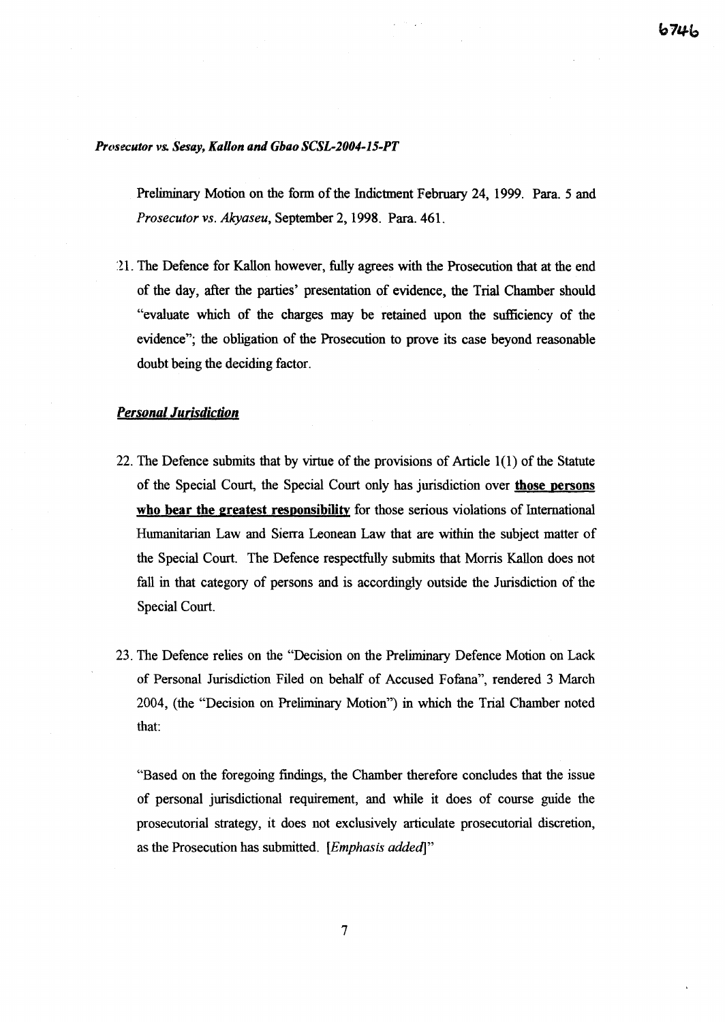#### *Prosecutor vs. Sesay, Kallon and GbaoSCSL-2004-15-PT*

Preliminary Motion on the form of the Indictment February 24, 1999. Para. 5 and *Prosecutor vs. Akyaseu,* September 2, 1998. Para. 461.

:U. The Defence for Kallon however, fully agrees with the Prosecution that at the end of the day, after the parties' presentation of evidence, the Trial Chamber should "evaluate which of the charges may be retained upon the sufficiency of the evidence"; the obligation of the Prosecution to prove its case beyond reasonable doubt being the deciding factor.

## *Personal Jurisdiction*

- 22. The Defence submits that by virtue of the provisions of Article 1(1) of the Statute of the Special Court, the Special Court only has jurisdiction over those persons who bear the greatest responsibility for those serious violations of International Humanitarian Law and Sierra Leonean Law that are within the subject matter of the Special Court. The Defence respectfully submits that Morris Kallon does not fall in that category of persons and is accordingly outside the Jurisdiction of the Special Court.
- 23. The Defence relies on the "Decision on the Preliminary Defence Motion on Lack of Personal Jurisdiction Filed on behalf of Accused Fofana", rendered 3 March 2004, (the "Decision on Preliminary Motion") in which the Trial Chamber noted that:

"Based on the foregoing findings, the Chamber therefore concludes that the issue of personal jurisdictional requirement, and while it does of course guide the prosecutorial strategy, it does not exclusively articulate prosecutorial discretion, as the Prosecution has submitted. *[Emphasis added]"*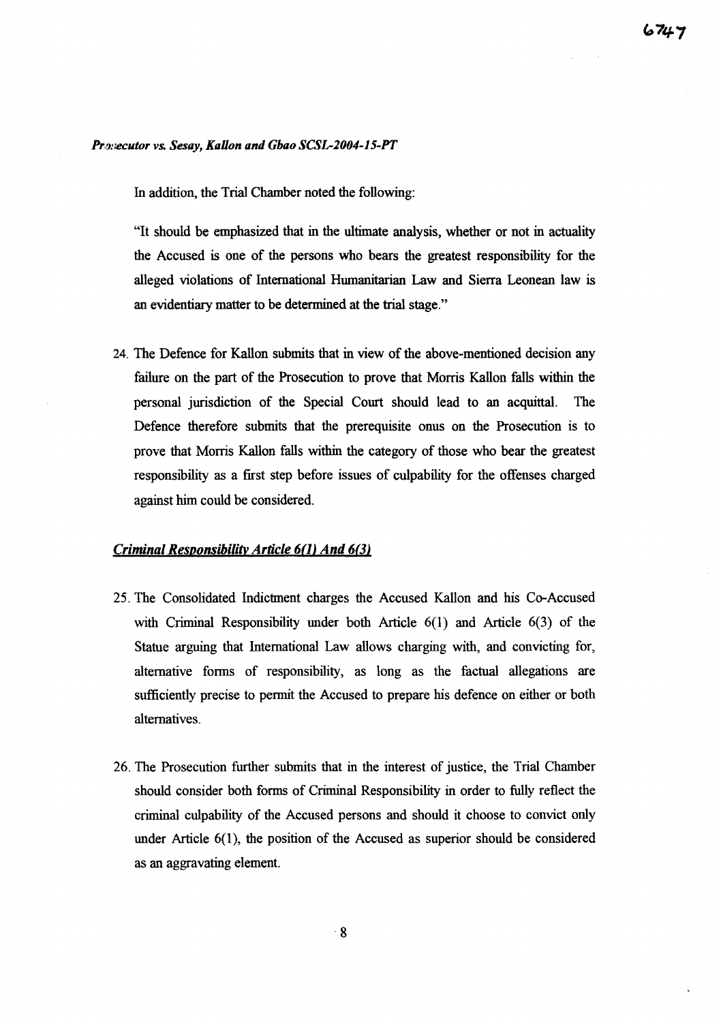## *PNJneculor vs. Sesay, Kallon and Gbao SCSL-2004-15-PT*

In addition, the Trial Chamber noted the following:

"It should be emphasized that in the ultimate analysis, whether or not in actuality the Accused is one of the persons who bears the greatest responsibility for the alleged violations of International Humanitarian Law and Sierra Leonean law is an evidentiary matter to be determined at the trial stage."

24. The Defence for Kallon submits that in view of the above-mentioned decision any failure on the part of the Prosecution to prove that Morris Kallon falls within the personal jurisdiction of the Special Court should lead to an acquittal. The Defence therefore submits that the prerequisite onus on the Prosecution is to prove that Morris Kallon falls within the category of those who bear the greatest responsibility as a first step before issues of culpability for the offenses charged against him could be considered.

#### Criminal Responsibility Article 6(1) And 6(3)

- 25. The Consolidated Indictment charges the Accused Kallon and his Co-Accused with Criminal Responsibility under both Article 6(1) and Article 6(3) of the Statue arguing that International Law allows charging with, and convicting for, alternative forms of responsibility, as long as the factual allegations are sufficiently precise to pennit the Accused to prepare his defence on either or both alternatives.
- 26. The Prosecution further submits that in the interest of justice, the Trial Chamber should consider both forms of Criminal Responsibility in order to fully reflect the criminal culpability of the Accused persons and should it choose to convict only under Article 6(1), the position of the Accused as superior should be considered as an aggravating element.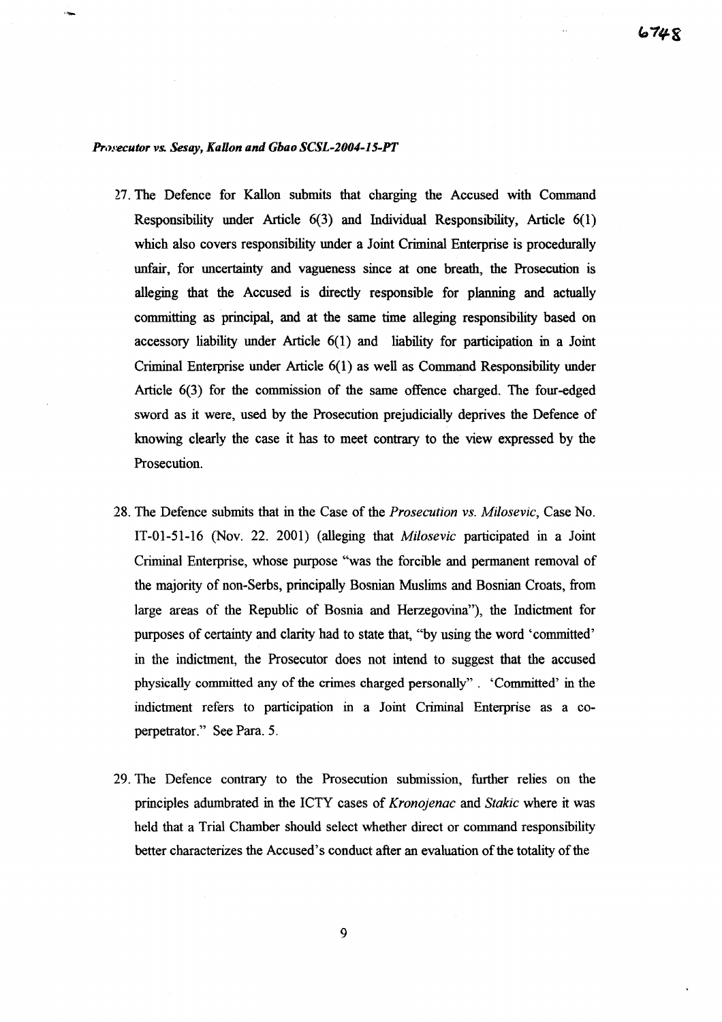#### *Prosecutor vs. Sesay, KaHon and Gbao SCSL-2004-15-PT*

- 27. The Defence for Kallon submits that charging the Accused with Command Responsibility under Article 6(3) and Individual Responsibility, Article 6(1) which also covers responsibility under a Joint Criminal Enterprise is procedurally unfair, for uncertainty and vagueness since at one breath, the Prosecution is alleging that the Accused is directly responsible for planning and actually committing as principal, and at the same time alleging responsibility based on accessory liability under Article 6(1) and liability for participation in a Joint Criminal Enterprise under Article 6(1) as well as Command Responsibility under Article 6(3) for the commission of the same offence charged. The four-edged sword as it were, used by the Prosecution prejudicially deprives the Defence of knowing clearly the case it has to meet contrary to the view expressed by the Prosecution.
- 28. The Defence submits that in the Case of the *Prosecution vs. Milosevic,* Case No. IT-01-51-16 (Nov. 22. 2001) (alleging that *Milosevic* participated in a Joint Criminal Enterprise, whose purpose "was the forcible and permanent removal of the majority of non-Serbs, principally Bosnian Muslims and Bosnian Croats, from large areas of the Republic of Bosnia and Herzegovina"), the Indictment for purposes of certainty and clarity had to state that, "by using the word 'committed' in the indictment, the Prosecutor does not intend to suggest that the accused physically committed any of the crimes charged personally". 'Committed' in the indictment refers to participation in a Joint Criminal Enterprise as a coperpetrator." See Para. 5.
- 29. The Defence contrary to the Prosecution submission, further relies on the principles adumbrated in the ICTY cases of *Kronojenac* and *Stakic* where it was held that a Trial Chamber should select whether direct or command responsibility better characterizes the Accused's conduct after an evaluation of the totality of the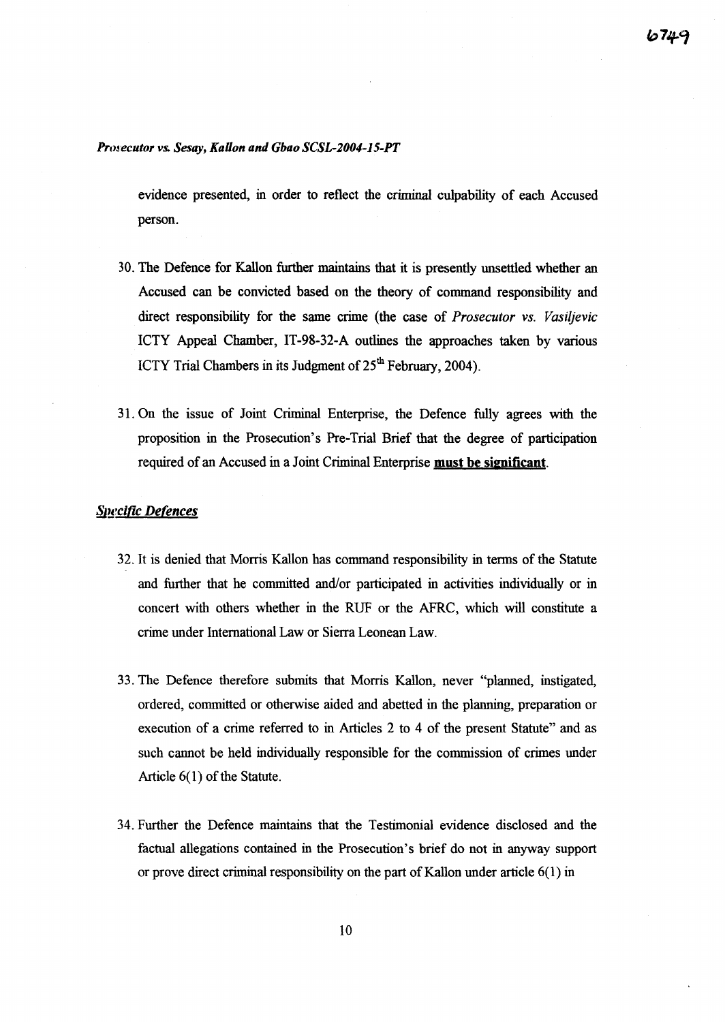## Pro~'ecutor *vs. Sesay, KaUon and Gbao SCSL-2004-15-PT*

evidence presented, in order to reflect the criminal culpability of each Accused person.

- 30. The Defence for Kallon further maintains that it is presently unsettled whether an Accused can be convicted based on the theory of command responsibility and direct responsibility for the same crime (the case of *Prosecutor vs. Vasiljevic* ICTY Appeal Chamber, IT-98-32-A outlines the approaches taken by various ICTY Trial Chambers in its Judgment of  $25<sup>th</sup>$  February, 2004).
- 31. On the issue of Joint Criminal Enterprise, the Defence fully agrees with the proposition in the Prosecution's Pre-Trial Brief that the degree of participation required of an Accused in a Joint Criminal Enterprise must be significant.

## **Specific Defences**

- 32. It is denied that Morris Kallon has command responsibility in terms of the Statute and further that he committed and/or participated in activities individually or in concert with others whether in the RUF or the AFRC, which will constitute a crime under International Law or Sierra Leonean Law.
- 33. The Defence therefore submits that Morris Kallon, never "planned, instigated, ordered, committed or otherwise aided and abetted in the planning, preparation or execution of a crime referred to in Articles 2 to 4 of the present Statute" and as such cannot be held individually responsible for the commission of crimes under Article  $6(1)$  of the Statute.
- 34. Further the Defence maintains that the Testimonial evidence disclosed and the factual allegations contained in the Prosecution's brief do not in anyway support or prove direct criminal responsibility on the part of Kallon under article  $6(1)$  in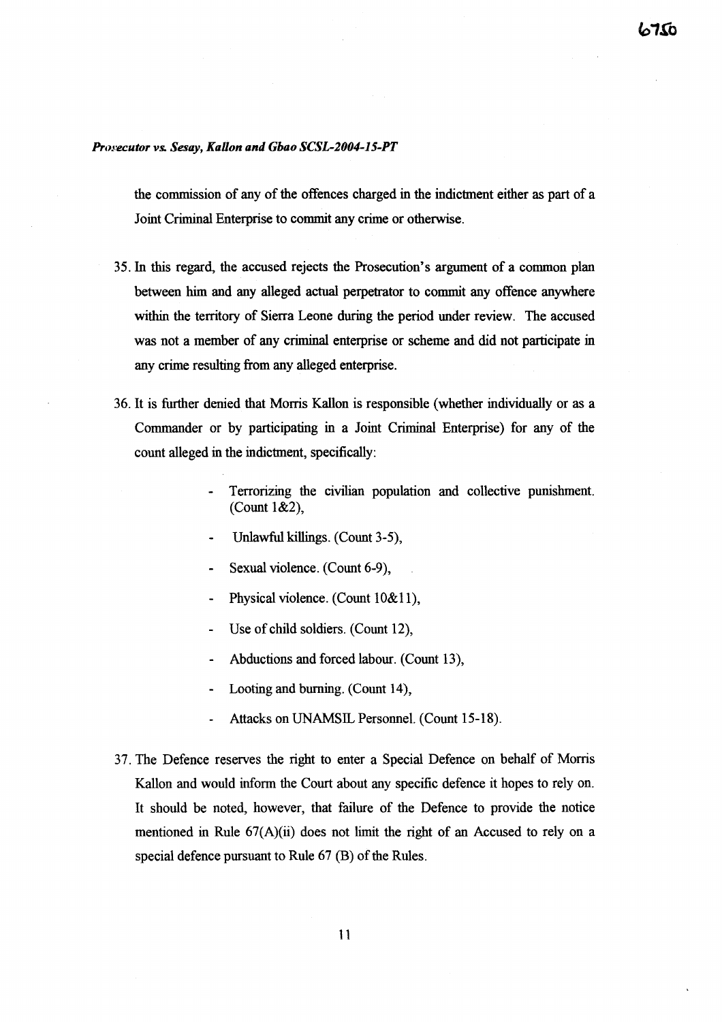## *Prosecutor vs. Sesay, KaUon and Gbao SCSL-2004-15-PT*

the commission of any of the offences charged in the indictment either as part of a Joint Criminal Enterprise to commit any crime or otherwise.

- 35. In this regard, the accused rejects the Prosecution's argument of a common plan between him and any alleged actual perpetrator to commit any offence anywhere within the territory of Sierra Leone during the period under review. The accused was not a member of any criminal enterprise or scheme and did not participate in any crime resulting from any alleged enterprise.
- 36. It is further denied that Morris Kallon is responsible (whether individually or as a Commander or by participating in a Joint Criminal Enterprise) for any of the count alleged in the indictment, specifically:
	- Terrorizing the civilian population and collective punishment. (Count 1&2),
	- Unlawful killings. (Count 3-5),
	- Sexual violence. (Count 6-9),
	- Physical violence. (Count 10&11),
	- Use of child soldiers. (Count 12),
	- Abductions and forced labour. (Count 13),
	- Looting and burning. (Count 14),
	- Attacks on UNAMSIL Personnel. (Count 15-18).
- 37. The Defence reserves the right to enter a Special Defence on behalf of Morris Kallon and would inform the Court about any specific defence it hopes to rely on. It should be noted, however, that failure of the Defence to provide the notice mentioned in Rule 67(A)(ii) does not limit the right of an Accused to rely on a special defence pursuant to Rule  $67$  (B) of the Rules.